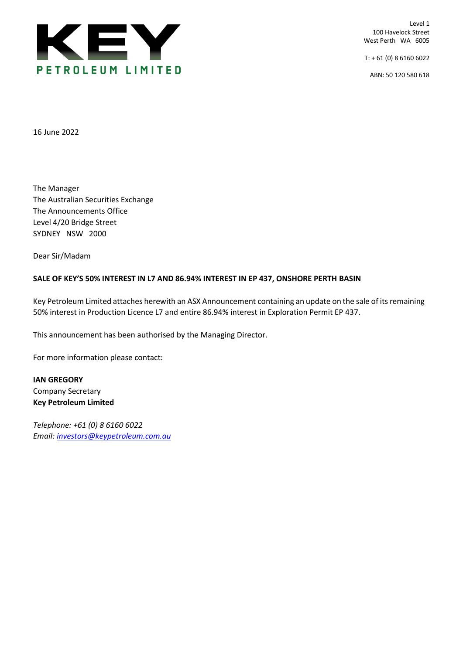

Level 1 100 Havelock Street West Perth WA 6005

 $T: +61(0)861606022$ 

ABN: 50 120 580 618

16 June 2022

The Manager The Australian Securities Exchange The Announcements Office Level 4/20 Bridge Street SYDNEY NSW 2000

Dear Sir/Madam

## **SALE OF KEY'S 50% INTEREST IN L7 AND 86.94% INTEREST IN EP 437, ONSHORE PERTH BASIN**

Key Petroleum Limited attaches herewith an ASX Announcement containing an update on the sale of its remaining 50% interest in Production Licence L7 and entire 86.94% interest in Exploration Permit EP 437.

This announcement has been authorised by the Managing Director.

For more information please contact:

**IAN GREGORY** Company Secretary **Key Petroleum Limited**

*Telephone: +61 (0) 8 6160 6022 Email: [investors@keypetroleum.com.au](mailto:investors@keypetroleum.com.au)*